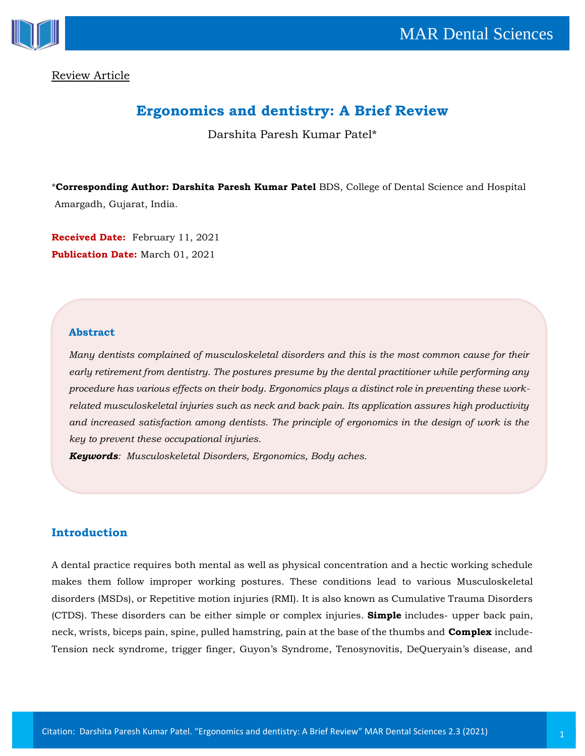



Review Article

# **Ergonomics and dentistry: A Brief Review**

Darshita Paresh Kumar Patel\*

\***Corresponding Author: Darshita Paresh Kumar Patel** BDS, College of Dental Science and Hospital Amargadh, Gujarat, India.

**Received Date:** February 11, 2021 **Publication Date:** March 01, 2021

## **Abstract**

*Many dentists complained of musculoskeletal disorders and this is the most common cause for their early retirement from dentistry. The postures presume by the dental practitioner while performing any procedure has various effects on their body. Ergonomics plays a distinct role in preventing these workrelated musculoskeletal injuries such as neck and back pain. Its application assures high productivity and increased satisfaction among dentists. The principle of ergonomics in the design of work is the key to prevent these occupational injuries.*

*Keywords: Musculoskeletal Disorders, Ergonomics, Body aches.*

## **Introduction**

A dental practice requires both mental as well as physical concentration and a hectic working schedule makes them follow improper working postures. These conditions lead to various Musculoskeletal disorders (MSDs), or Repetitive motion injuries (RMI). It is also known as Cumulative Trauma Disorders (CTDS). These disorders can be either simple or complex injuries. **Simple** includes- upper back pain, neck, wrists, biceps pain, spine, pulled hamstring, pain at the base of the thumbs and **Complex** include-Tension neck syndrome, trigger finger, Guyon's Syndrome, Tenosynovitis, DeQueryain's disease, and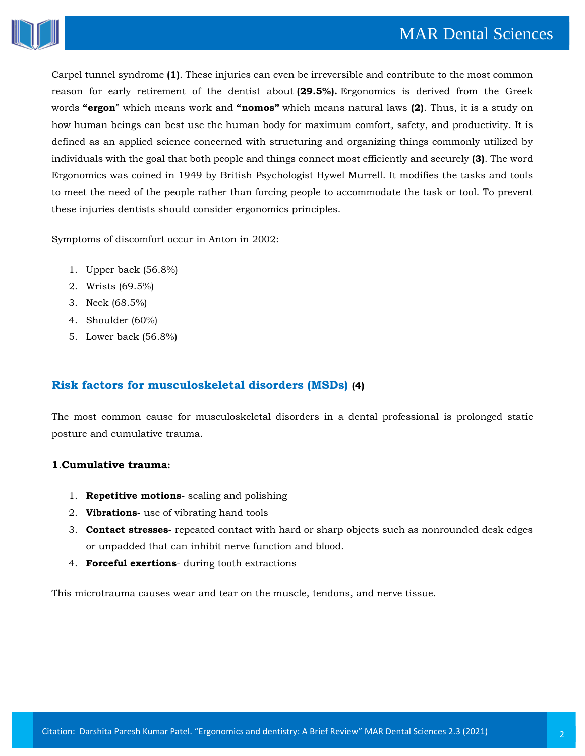

Carpel tunnel syndrome **(1)**. These injuries can even be irreversible and contribute to the most common reason for early retirement of the dentist about **(29.5%).** Ergonomics is derived from the Greek words **"ergon**" which means work and **"nomos"** which means natural laws **(2)**. Thus, it is a study on how human beings can best use the human body for maximum comfort, safety, and productivity. It is defined as an applied science concerned with structuring and organizing things commonly utilized by individuals with the goal that both people and things connect most efficiently and securely **(3)**. The word Ergonomics was coined in 1949 by British Psychologist Hywel Murrell. It modifies the tasks and tools to meet the need of the people rather than forcing people to accommodate the task or tool. To prevent these injuries dentists should consider ergonomics principles.

Symptoms of discomfort occur in Anton in 2002:

- 1. Upper back (56.8%)
- 2. Wrists (69.5%)
- 3. Neck (68.5%)
- 4. Shoulder (60%)
- 5. Lower back (56.8%)

## **Risk factors for musculoskeletal disorders (MSDs) (4)**

The most common cause for musculoskeletal disorders in a dental professional is prolonged static posture and cumulative trauma.

## **1**.**Cumulative trauma:**

- 1. **Repetitive motions-** scaling and polishing
- 2. **Vibrations-** use of vibrating hand tools
- 3. **Contact stresses-** repeated contact with hard or sharp objects such as nonrounded desk edges or unpadded that can inhibit nerve function and blood.
- 4. **Forceful exertions** during tooth extractions

This microtrauma causes wear and tear on the muscle, tendons, and nerve tissue.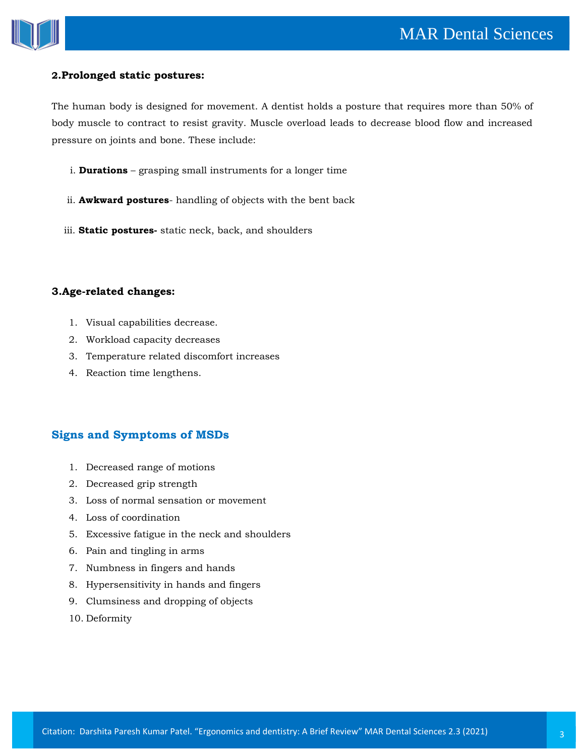

#### **2.Prolonged static postures:**

The human body is designed for movement. A dentist holds a posture that requires more than 50% of body muscle to contract to resist gravity. Muscle overload leads to decrease blood flow and increased pressure on joints and bone. These include:

- i. **Durations** grasping small instruments for a longer time
- ii. **Awkward postures** handling of objects with the bent back
- iii. **Static postures-** static neck, back, and shoulders

## **3.Age-related changes:**

- 1. Visual capabilities decrease.
- 2. Workload capacity decreases
- 3. Temperature related discomfort increases
- 4. Reaction time lengthens.

## **Signs and Symptoms of MSDs**

- 1. Decreased range of motions
- 2. Decreased grip strength
- 3. Loss of normal sensation or movement
- 4. Loss of coordination
- 5. Excessive fatigue in the neck and shoulders
- 6. Pain and tingling in arms
- 7. Numbness in fingers and hands
- 8. Hypersensitivity in hands and fingers
- 9. Clumsiness and dropping of objects
- 10. Deformity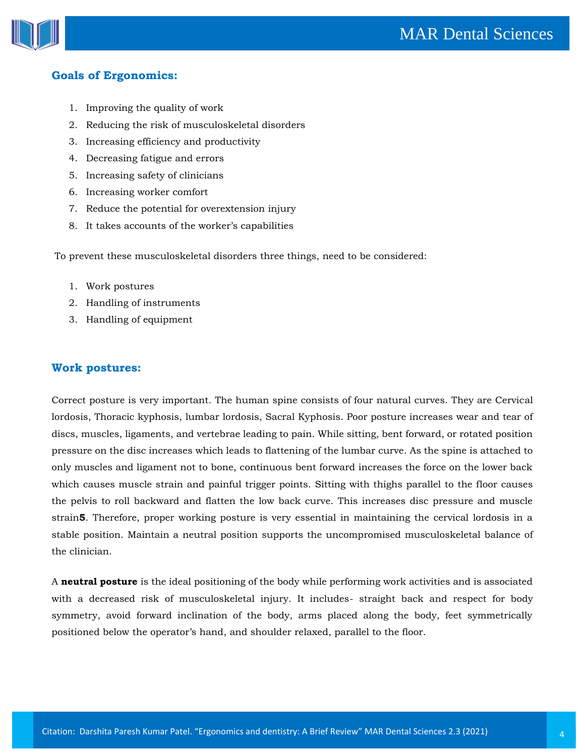

## **Goals of Ergonomics:**

- 1. Improving the quality of work
- 2. Reducing the risk of musculoskeletal disorders
- 3. Increasing efficiency and productivity
- 4. Decreasing fatigue and errors
- 5. Increasing safety of clinicians
- 6. Increasing worker comfort
- 7. Reduce the potential for overextension injury
- 8. It takes accounts of the worker's capabilities

To prevent these musculoskeletal disorders three things, need to be considered:

- 1. Work postures
- 2. Handling of instruments
- 3. Handling of equipment

#### **Work postures:**

Correct posture is very important. The human spine consists of four natural curves. They are Cervical lordosis, Thoracic kyphosis, lumbar lordosis, Sacral Kyphosis. Poor posture increases wear and tear of discs, muscles, ligaments, and vertebrae leading to pain. While sitting, bent forward, or rotated position pressure on the disc increases which leads to flattening of the lumbar curve. As the spine is attached to only muscles and ligament not to bone, continuous bent forward increases the force on the lower back which causes muscle strain and painful trigger points. Sitting with thighs parallel to the floor causes the pelvis to roll backward and flatten the low back curve. This increases disc pressure and muscle strain**5**. Therefore, proper working posture is very essential in maintaining the cervical lordosis in a stable position. Maintain a neutral position supports the uncompromised musculoskeletal balance of the clinician.

A **neutral posture** is the ideal positioning of the body while performing work activities and is associated with a decreased risk of musculoskeletal injury. It includes- straight back and respect for body symmetry, avoid forward inclination of the body, arms placed along the body, feet symmetrically positioned below the operator's hand, and shoulder relaxed, parallel to the floor.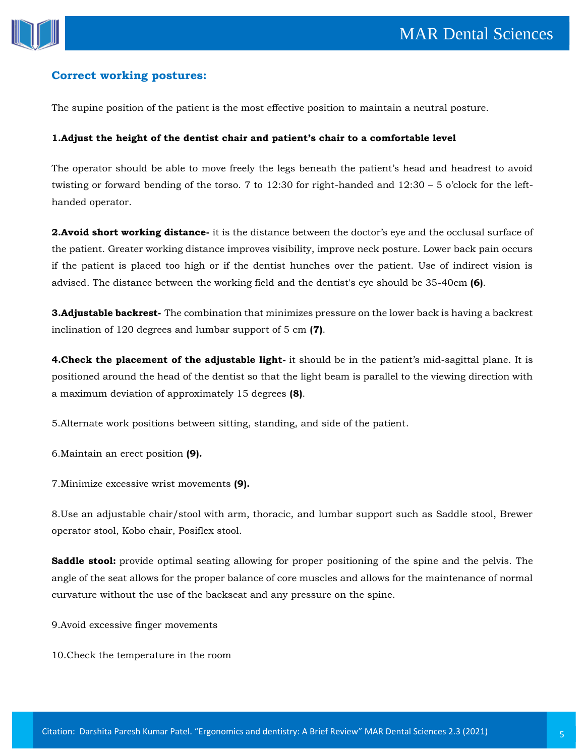

## **Correct working postures:**

The supine position of the patient is the most effective position to maintain a neutral posture.

#### **1.Adjust the height of the dentist chair and patient's chair to a comfortable level**

The operator should be able to move freely the legs beneath the patient's head and headrest to avoid twisting or forward bending of the torso. 7 to 12:30 for right-handed and  $12:30 - 5$  o'clock for the lefthanded operator.

**2.Avoid short working distance-** it is the distance between the doctor's eye and the occlusal surface of the patient. Greater working distance improves visibility, improve neck posture. Lower back pain occurs if the patient is placed too high or if the dentist hunches over the patient. Use of indirect vision is advised. The distance between the working field and the dentist's eye should be 35-40cm **(6)**.

**3.Adjustable backrest-** The combination that minimizes pressure on the lower back is having a backrest inclination of 120 degrees and lumbar support of 5 cm **(7)**.

**4.Check the placement of the adjustable light-** it should be in the patient's mid-sagittal plane. It is positioned around the head of the dentist so that the light beam is parallel to the viewing direction with a maximum deviation of approximately 15 degrees **(8)**.

5.Alternate work positions between sitting, standing, and side of the patient.

6.Maintain an erect position **(9).**

7.Minimize excessive wrist movements **(9).**

8.Use an adjustable chair/stool with arm, thoracic, and lumbar support such as Saddle stool, Brewer operator stool, Kobo chair, Posiflex stool.

**Saddle stool:** provide optimal seating allowing for proper positioning of the spine and the pelvis. The angle of the seat allows for the proper balance of core muscles and allows for the maintenance of normal curvature without the use of the backseat and any pressure on the spine.

9.Avoid excessive finger movements

10.Check the temperature in the room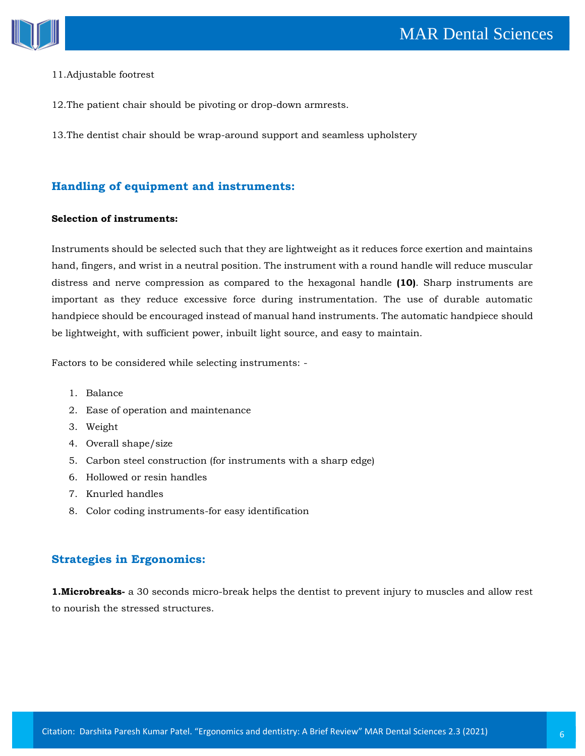

#### 11.Adjustable footrest

- 12.The patient chair should be pivoting or drop-down armrests.
- 13.The dentist chair should be wrap-around support and seamless upholstery

## **Handling of equipment and instruments:**

#### **Selection of instruments:**

Instruments should be selected such that they are lightweight as it reduces force exertion and maintains hand, fingers, and wrist in a neutral position. The instrument with a round handle will reduce muscular distress and nerve compression as compared to the hexagonal handle **(10)**. Sharp instruments are important as they reduce excessive force during instrumentation. The use of durable automatic handpiece should be encouraged instead of manual hand instruments. The automatic handpiece should be lightweight, with sufficient power, inbuilt light source, and easy to maintain.

Factors to be considered while selecting instruments: -

- 1. Balance
- 2. Ease of operation and maintenance
- 3. Weight
- 4. Overall shape/size
- 5. Carbon steel construction (for instruments with a sharp edge)
- 6. Hollowed or resin handles
- 7. Knurled handles
- 8. Color coding instruments-for easy identification

## **Strategies in Ergonomics:**

**1.Microbreaks-** a 30 seconds micro-break helps the dentist to prevent injury to muscles and allow rest to nourish the stressed structures.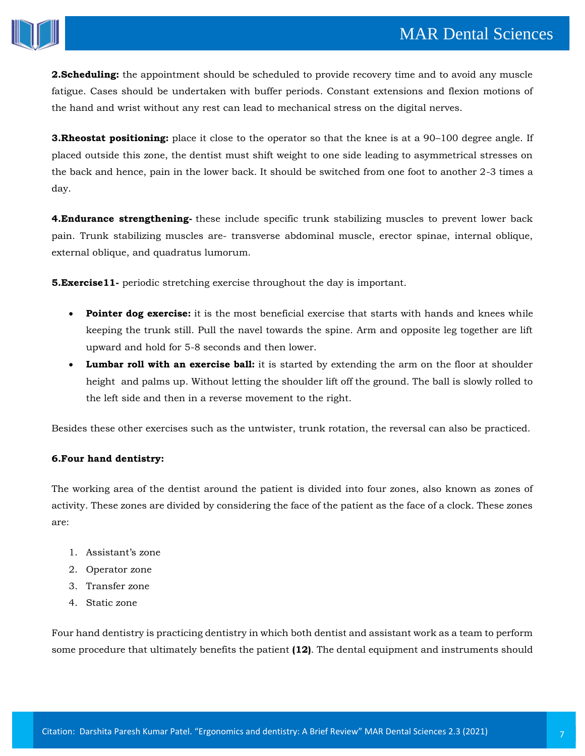

**2.Scheduling:** the appointment should be scheduled to provide recovery time and to avoid any muscle fatigue. Cases should be undertaken with buffer periods. Constant extensions and flexion motions of the hand and wrist without any rest can lead to mechanical stress on the digital nerves.

**3. Rheostat positioning:** place it close to the operator so that the knee is at a 90–100 degree angle. If placed outside this zone, the dentist must shift weight to one side leading to asymmetrical stresses on the back and hence, pain in the lower back. It should be switched from one foot to another 2-3 times a day.

**4.Endurance strengthening-** these include specific trunk stabilizing muscles to prevent lower back pain. Trunk stabilizing muscles are- transverse abdominal muscle, erector spinae, internal oblique, external oblique, and quadratus lumorum.

**5.Exercise11-** periodic stretching exercise throughout the day is important.

- **Pointer dog exercise:** it is the most beneficial exercise that starts with hands and knees while keeping the trunk still. Pull the navel towards the spine. Arm and opposite leg together are lift upward and hold for 5-8 seconds and then lower.
- **Lumbar roll with an exercise ball:** it is started by extending the arm on the floor at shoulder height and palms up. Without letting the shoulder lift off the ground. The ball is slowly rolled to the left side and then in a reverse movement to the right.

Besides these other exercises such as the untwister, trunk rotation, the reversal can also be practiced.

## **6.Four hand dentistry:**

The working area of the dentist around the patient is divided into four zones, also known as zones of activity. These zones are divided by considering the face of the patient as the face of a clock. These zones are:

- 1. Assistant's zone
- 2. Operator zone
- 3. Transfer zone
- 4. Static zone

Four hand dentistry is practicing dentistry in which both dentist and assistant work as a team to perform some procedure that ultimately benefits the patient **(12)**. The dental equipment and instruments should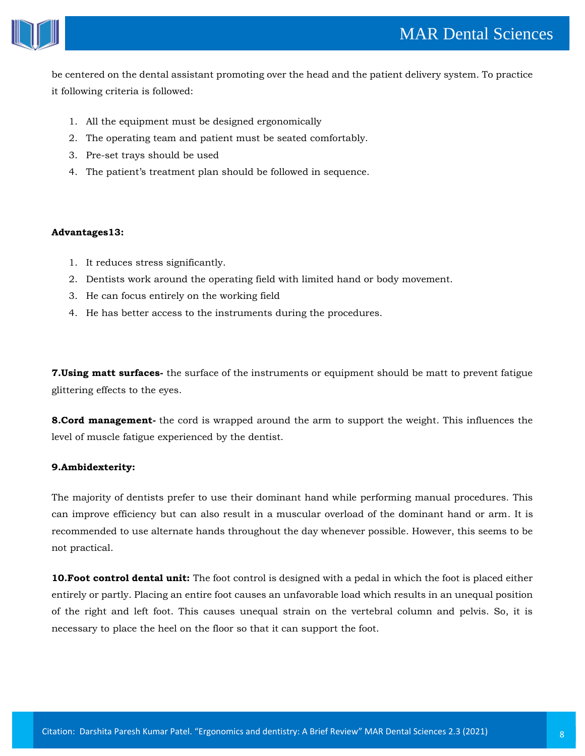

be centered on the dental assistant promoting over the head and the patient delivery system. To practice it following criteria is followed:

- 1. All the equipment must be designed ergonomically
- 2. The operating team and patient must be seated comfortably.
- 3. Pre-set trays should be used
- 4. The patient's treatment plan should be followed in sequence.

#### **Advantages13:**

- 1. It reduces stress significantly.
- 2. Dentists work around the operating field with limited hand or body movement.
- 3. He can focus entirely on the working field
- 4. He has better access to the instruments during the procedures.

**7.Using matt surfaces-** the surface of the instruments or equipment should be matt to prevent fatigue glittering effects to the eyes.

**8.Cord management-** the cord is wrapped around the arm to support the weight. This influences the level of muscle fatigue experienced by the dentist.

## **9.Ambidexterity:**

The majority of dentists prefer to use their dominant hand while performing manual procedures. This can improve efficiency but can also result in a muscular overload of the dominant hand or arm. It is recommended to use alternate hands throughout the day whenever possible. However, this seems to be not practical.

**10.Foot control dental unit:** The foot control is designed with a pedal in which the foot is placed either entirely or partly. Placing an entire foot causes an unfavorable load which results in an unequal position of the right and left foot. This causes unequal strain on the vertebral column and pelvis. So, it is necessary to place the heel on the floor so that it can support the foot.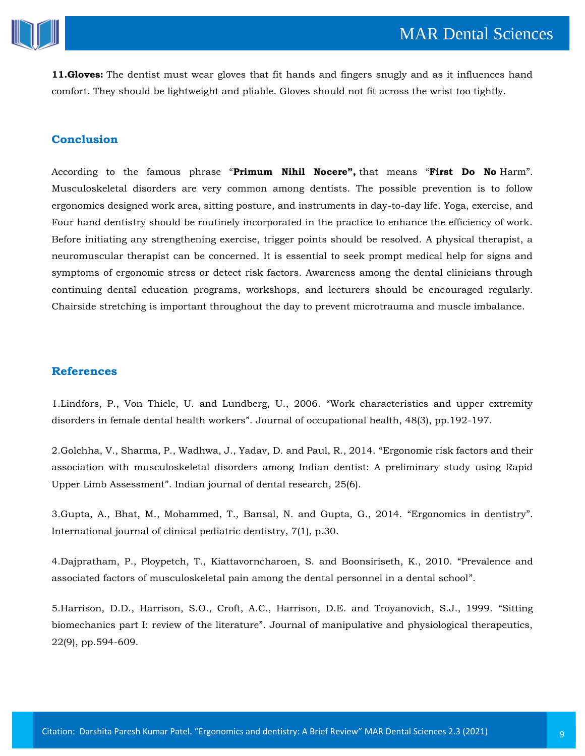

**11.Gloves:** The dentist must wear gloves that fit hands and fingers snugly and as it influences hand comfort. They should be lightweight and pliable. Gloves should not fit across the wrist too tightly.

## **Conclusion**

According to the famous phrase "**Primum Nihil Nocere",** that means "**First Do No** Harm". Musculoskeletal disorders are very common among dentists. The possible prevention is to follow ergonomics designed work area, sitting posture, and instruments in day-to-day life. Yoga, exercise, and Four hand dentistry should be routinely incorporated in the practice to enhance the efficiency of work. Before initiating any strengthening exercise, trigger points should be resolved. A physical therapist, a neuromuscular therapist can be concerned. It is essential to seek prompt medical help for signs and symptoms of ergonomic stress or detect risk factors. Awareness among the dental clinicians through continuing dental education programs, workshops, and lecturers should be encouraged regularly. Chairside stretching is important throughout the day to prevent microtrauma and muscle imbalance.

#### **References**

1[.Lindfors, P., Von Thiele, U. and Lundberg, U., 2006.](https://www.google.com/search?q=Work+characteristics+and+upper+extremity+disorders+in+female+dental+health+workers&oq=Work+characteristics+and+upper+extremity+disorders+in+female+dental+health+workers&aqs=chrome..69i57.987j0j7&sourceid=chrome&ie=UTF-8) "Work characteristics and upper extremity disorders in female dental health workers". [Journal of occupational health, 48\(3\), pp.192-197.](https://www.google.com/search?q=Work+characteristics+and+upper+extremity+disorders+in+female+dental+health+workers&oq=Work+characteristics+and+upper+extremity+disorders+in+female+dental+health+workers&aqs=chrome..69i57.987j0j7&sourceid=chrome&ie=UTF-8)

2[.Golchha, V., Sharma, P., Wadhwa, J., Yadav, D. and Paul, R., 2014.](https://www.google.com/search?sxsrf=ALeKk03trrSNpls4HC8LdOkWL8PN1Ui6YQ%3A1613370940315&ei=PBYqYIr2Epnt9QP125yYAQ&q=Ergonomie+risk+factors+and+their+association+with+musculoskeletal+disorders+among+Indian+dentist%3A+A+preliminary+study+using+Rapid+Upper+Limb+Assessment&oq=Ergonomie+risk+factors+and+their+association+with+musculoskeletal+disorders+among+Indian+dentist%3A+A+preliminary+study+using+Rapid+Upper+Limb+Assessment&gs_lcp=Cgdnd3Mtd2l6EAMyBwgjEOoCECcyBwgjEOoCECcyBwgjEOoCECcyBwgjEOoCECcyBwgjEOoCECcyBwgjEOoCECcyBwgjEOoCECcyBwgjEOoCECcyBwgjEOoCECcyBwgjEOoCECdQkq4BWJKuAWDOsAFoAXAAeACAAaQCiAGkApIBAzItMZgBAKABAaABAqoBB2d3cy13aXqwAQrAAQE&sclient=gws-wiz&ved=0ahUKEwiKhKeOo-vuAhWZdn0KHfUtBxMQ4dUDCA0&uact=5) "Ergonomie risk factors and their [association with musculoskeletal disorders among Indian dentist: A preliminary study using Rapid](https://www.google.com/search?sxsrf=ALeKk03trrSNpls4HC8LdOkWL8PN1Ui6YQ%3A1613370940315&ei=PBYqYIr2Epnt9QP125yYAQ&q=Ergonomie+risk+factors+and+their+association+with+musculoskeletal+disorders+among+Indian+dentist%3A+A+preliminary+study+using+Rapid+Upper+Limb+Assessment&oq=Ergonomie+risk+factors+and+their+association+with+musculoskeletal+disorders+among+Indian+dentist%3A+A+preliminary+study+using+Rapid+Upper+Limb+Assessment&gs_lcp=Cgdnd3Mtd2l6EAMyBwgjEOoCECcyBwgjEOoCECcyBwgjEOoCECcyBwgjEOoCECcyBwgjEOoCECcyBwgjEOoCECcyBwgjEOoCECcyBwgjEOoCECcyBwgjEOoCECcyBwgjEOoCECdQkq4BWJKuAWDOsAFoAXAAeACAAaQCiAGkApIBAzItMZgBAKABAaABAqoBB2d3cy13aXqwAQrAAQE&sclient=gws-wiz&ved=0ahUKEwiKhKeOo-vuAhWZdn0KHfUtBxMQ4dUDCA0&uact=5)  Upper Limb Assessment"[. Indian journal of dental research, 25\(6\).](https://www.google.com/search?sxsrf=ALeKk03trrSNpls4HC8LdOkWL8PN1Ui6YQ%3A1613370940315&ei=PBYqYIr2Epnt9QP125yYAQ&q=Ergonomie+risk+factors+and+their+association+with+musculoskeletal+disorders+among+Indian+dentist%3A+A+preliminary+study+using+Rapid+Upper+Limb+Assessment&oq=Ergonomie+risk+factors+and+their+association+with+musculoskeletal+disorders+among+Indian+dentist%3A+A+preliminary+study+using+Rapid+Upper+Limb+Assessment&gs_lcp=Cgdnd3Mtd2l6EAMyBwgjEOoCECcyBwgjEOoCECcyBwgjEOoCECcyBwgjEOoCECcyBwgjEOoCECcyBwgjEOoCECcyBwgjEOoCECcyBwgjEOoCECcyBwgjEOoCECcyBwgjEOoCECdQkq4BWJKuAWDOsAFoAXAAeACAAaQCiAGkApIBAzItMZgBAKABAaABAqoBB2d3cy13aXqwAQrAAQE&sclient=gws-wiz&ved=0ahUKEwiKhKeOo-vuAhWZdn0KHfUtBxMQ4dUDCA0&uact=5)

3[.Gupta, A., Bhat, M., Mohammed, T., Bansal, N. and Gupta, G., 2014.](https://www.google.com/search?sxsrf=ALeKk02OXaM6J45RaITIkwvZyUZYmZaW9g%3A1613370964618&ei=VBYqYMyTJc-e9QPoqbq4Dg&q=Ergonomics+in+dentistry&oq=Ergonomics+in+dentistry&gs_lcp=Cgdnd3Mtd2l6EAMyAggAMgIIADICCAAyAggAMgIIADIGCAAQFhAeMgYIABAWEB4yBggAEBYQHjIGCAAQFhAeMgYIABAWEB46BwgjEOoCECdQ_8sBWP_LAWD3zQFoAXAAeACAAZcBiAGXAZIBAzAuMZgBAaABAaABAqoBB2d3cy13aXqwAQrAAQE&sclient=gws-wiz&ved=0ahUKEwjMjfKZo-vuAhVPT30KHeiUDucQ4dUDCA0&uact=5) "Ergonomics in dentistry". [International journal of clinical pediatric dentistry, 7\(1\), p.30.](https://www.google.com/search?sxsrf=ALeKk02OXaM6J45RaITIkwvZyUZYmZaW9g%3A1613370964618&ei=VBYqYMyTJc-e9QPoqbq4Dg&q=Ergonomics+in+dentistry&oq=Ergonomics+in+dentistry&gs_lcp=Cgdnd3Mtd2l6EAMyAggAMgIIADICCAAyAggAMgIIADIGCAAQFhAeMgYIABAWEB4yBggAEBYQHjIGCAAQFhAeMgYIABAWEB46BwgjEOoCECdQ_8sBWP_LAWD3zQFoAXAAeACAAZcBiAGXAZIBAzAuMZgBAaABAaABAqoBB2d3cy13aXqwAQrAAQE&sclient=gws-wiz&ved=0ahUKEwjMjfKZo-vuAhVPT30KHeiUDucQ4dUDCA0&uact=5)

4.Dajpratham, P., Ploypetch, T., [Kiattavorncharoen, S. and Boonsiriseth, K., 2010.](https://www.google.com/search?sxsrf=ALeKk00KhYVuAtYbDpT6jAdJ8YzLtI8PPA%3A1613370992731&ei=cBYqYLCILIL8rQHYgZiADA&q=Prevalence+and+associated+factors+of+musculoskeletal+pain+among+the+dental+personnel+in+a+dental+school&oq=Prevalence+and+associated+factors+of+musculoskeletal+pain+among+the+dental+personnel+in+a+dental+school&gs_lcp=Cgdnd3Mtd2l6EAMyBwgjEOoCECcyBwgjEOoCECcyBwgjEOoCECcyBwgjEOoCECcyBwgjEOoCECcyBwgjEOoCECcyBwgjEOoCECcyBwgjEOoCECcyBwgjEOoCECcyBwgjEOoCECdQuZILWLmSC2CWlQtoAXACeACAAYoBiAGKAZIBAzAuMZgBAKABAaABAqoBB2d3cy13aXqwAQrAAQE&sclient=gws-wiz&ved=0ahUKEwiwgKano-vuAhUCfisKHdgABsAQ4dUDCA0&uact=5) "Prevalence and [associated factors of musculoskeletal pain among the dental personnel in a dental school](https://www.google.com/search?sxsrf=ALeKk00KhYVuAtYbDpT6jAdJ8YzLtI8PPA%3A1613370992731&ei=cBYqYLCILIL8rQHYgZiADA&q=Prevalence+and+associated+factors+of+musculoskeletal+pain+among+the+dental+personnel+in+a+dental+school&oq=Prevalence+and+associated+factors+of+musculoskeletal+pain+among+the+dental+personnel+in+a+dental+school&gs_lcp=Cgdnd3Mtd2l6EAMyBwgjEOoCECcyBwgjEOoCECcyBwgjEOoCECcyBwgjEOoCECcyBwgjEOoCECcyBwgjEOoCECcyBwgjEOoCECcyBwgjEOoCECcyBwgjEOoCECcyBwgjEOoCECdQuZILWLmSC2CWlQtoAXACeACAAYoBiAGKAZIBAzAuMZgBAKABAaABAqoBB2d3cy13aXqwAQrAAQE&sclient=gws-wiz&ved=0ahUKEwiwgKano-vuAhUCfisKHdgABsAQ4dUDCA0&uact=5)".

5[.Harrison, D.D., Harrison, S.O., Croft, A.C., Harrison, D.E. and Troyanovich, S.J., 1999.](https://www.google.com/search?sxsrf=ALeKk00cHZMlsloxdmq1vCekUCCLeeBlVQ%3A1613371176973&ei=KBcqYO3cOsyo9QOn9a6gBQ&q=Sitting+biomechanics+part+I%3A+review+of+the+literature&oq=Sitting+biomechanics+part+I%3A+review+of+the+literature&gs_lcp=Cgdnd3Mtd2l6EAMyBwgjEOoCECcyBwgjEOoCECcyBwgjEOoCECcyBwgjEOoCECcyBwgjEOoCECcyBwgjEOoCECcyBwgjEOoCECcyBwgjEOoCECcyBwgjEOoCECcyBwgjEOoCECdQ874BWPO-AWCbwQFoAXAAeACAAQCIAQCSAQCYAQGgAQGgAQKqAQdnd3Mtd2l6sAEKwAEB&sclient=gws-wiz&ved=0ahUKEwjtkJP_o-vuAhVMVH0KHae6C1QQ4dUDCA0&uact=5) "Sitting biomechanics part I: review of the literature"[. Journal of manipulative and physiological therapeutics,](https://www.google.com/search?sxsrf=ALeKk00cHZMlsloxdmq1vCekUCCLeeBlVQ%3A1613371176973&ei=KBcqYO3cOsyo9QOn9a6gBQ&q=Sitting+biomechanics+part+I%3A+review+of+the+literature&oq=Sitting+biomechanics+part+I%3A+review+of+the+literature&gs_lcp=Cgdnd3Mtd2l6EAMyBwgjEOoCECcyBwgjEOoCECcyBwgjEOoCECcyBwgjEOoCECcyBwgjEOoCECcyBwgjEOoCECcyBwgjEOoCECcyBwgjEOoCECcyBwgjEOoCECcyBwgjEOoCECdQ874BWPO-AWCbwQFoAXAAeACAAQCIAQCSAQCYAQGgAQGgAQKqAQdnd3Mtd2l6sAEKwAEB&sclient=gws-wiz&ved=0ahUKEwjtkJP_o-vuAhVMVH0KHae6C1QQ4dUDCA0&uact=5)  [22\(9\), pp.594-609.](https://www.google.com/search?sxsrf=ALeKk00cHZMlsloxdmq1vCekUCCLeeBlVQ%3A1613371176973&ei=KBcqYO3cOsyo9QOn9a6gBQ&q=Sitting+biomechanics+part+I%3A+review+of+the+literature&oq=Sitting+biomechanics+part+I%3A+review+of+the+literature&gs_lcp=Cgdnd3Mtd2l6EAMyBwgjEOoCECcyBwgjEOoCECcyBwgjEOoCECcyBwgjEOoCECcyBwgjEOoCECcyBwgjEOoCECcyBwgjEOoCECcyBwgjEOoCECcyBwgjEOoCECcyBwgjEOoCECdQ874BWPO-AWCbwQFoAXAAeACAAQCIAQCSAQCYAQGgAQGgAQKqAQdnd3Mtd2l6sAEKwAEB&sclient=gws-wiz&ved=0ahUKEwjtkJP_o-vuAhVMVH0KHae6C1QQ4dUDCA0&uact=5)